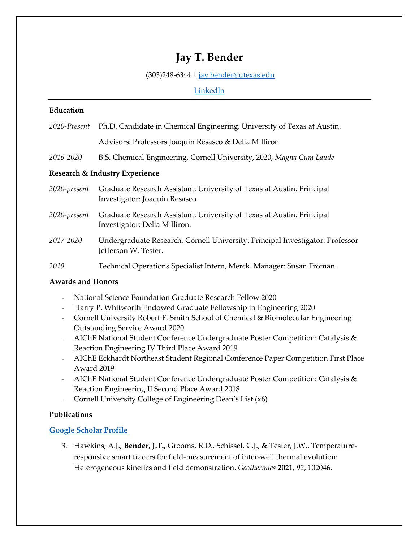# **Jay T. Bender**

## (303)248-6344 | [jay.bender@utexas.edu](mailto:Jresasco@ucsb.edu)

# [LinkedIn](https://www.linkedin.com/in/jaybender/)

## **Education**

| 2020-Present                   | Ph.D. Candidate in Chemical Engineering, University of Texas at Austin.                                 |
|--------------------------------|---------------------------------------------------------------------------------------------------------|
|                                | Advisors: Professors Joaquin Resasco & Delia Milliron                                                   |
| 2016-2020                      | B.S. Chemical Engineering, Cornell University, 2020, Magna Cum Laude                                    |
| Research & Industry Experience |                                                                                                         |
| 2020-present                   | Graduate Research Assistant, University of Texas at Austin. Principal<br>Investigator: Joaquin Resasco. |
| 2020-present                   | Graduate Research Assistant, University of Texas at Austin. Principal<br>Investigator: Delia Milliron.  |
| 2017-2020                      | Undergraduate Research, Cornell University. Principal Investigator: Professor<br>Jefferson W. Tester.   |
| 2019                           | Technical Operations Specialist Intern, Merck. Manager: Susan Froman.                                   |

# **Awards and Honors**

- National Science Foundation Graduate Research Fellow 2020
- Harry P. Whitworth Endowed Graduate Fellowship in Engineering 2020
- Cornell University Robert F. Smith School of Chemical & Biomolecular Engineering Outstanding Service Award 2020
- AIChE National Student Conference Undergraduate Poster Competition: Catalysis & Reaction Engineering IV Third Place Award 2019
- AIChE Eckhardt Northeast Student Regional Conference Paper Competition First Place Award 2019
- AIChE National Student Conference Undergraduate Poster Competition: Catalysis & Reaction Engineering II Second Place Award 2018
- Cornell University College of Engineering Dean's List (x6)

# **Publications**

# **[Google Scholar Profile](https://scholar.google.com/citations?user=wu1UDkMAAAAJ&hl=en&authuser=2)**

3. Hawkins, A.J., **Bender, J.T.,** Grooms, R.D., Schissel, C.J., & Tester, J.W.. Temperatureresponsive smart tracers for field-measurement of inter-well thermal evolution: Heterogeneous kinetics and field demonstration. *Geothermics* **2021**, *92*, 102046.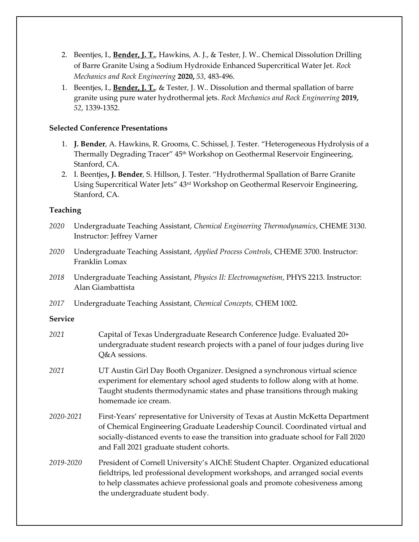- 2. Beentjes, I., **Bender, J. T.**, Hawkins, A. J., & Tester, J. W.. Chemical Dissolution Drilling of Barre Granite Using a Sodium Hydroxide Enhanced Supercritical Water Jet. *Rock Mechanics and Rock Engineering* **2020,** *53*, 483-496.
- 1. Beentjes, I., **Bender, J. T.**, & Tester, J. W.. Dissolution and thermal spallation of barre granite using pure water hydrothermal jets. *Rock Mechanics and Rock Engineering* **2019,** *52*, 1339-1352.

## **Selected Conference Presentations**

- 1. **J. Bender**, A. Hawkins, R. Grooms, C. Schissel, J. Tester. "Heterogeneous Hydrolysis of a Thermally Degrading Tracer" 45<sup>th</sup> Workshop on Geothermal Reservoir Engineering, Stanford, CA.
- 2. I. Beentjes**, J. Bender**, S. Hillson, J. Tester. "Hydrothermal Spallation of Barre Granite Using Supercritical Water Jets" 43rd Workshop on Geothermal Reservoir Engineering, Stanford, CA.

## **Teaching**

- *2020* Undergraduate Teaching Assistant, *Chemical Engineering Thermodynamics*, CHEME 3130. Instructor: Jeffrey Varner
- *2020* Undergraduate Teaching Assistant, *Applied Process Controls*, CHEME 3700. Instructor: Franklin Lomax
- *2018* Undergraduate Teaching Assistant, *Physics II: Electromagnetism*, PHYS 2213. Instructor: Alan Giambattista
- *2017* Undergraduate Teaching Assistant, *Chemical Concepts,* CHEM 1002.

## **Service**

*2021* Capital of Texas Undergraduate Research Conference Judge. Evaluated 20+ undergraduate student research projects with a panel of four judges during live Q&A sessions. *2021* UT Austin Girl Day Booth Organizer. Designed a synchronous virtual science experiment for elementary school aged students to follow along with at home. Taught students thermodynamic states and phase transitions through making homemade ice cream. *2020-2021* First-Years' representative for University of Texas at Austin McKetta Department of Chemical Engineering Graduate Leadership Council. Coordinated virtual and socially-distanced events to ease the transition into graduate school for Fall 2020 and Fall 2021 graduate student cohorts. *2019-2020* President of Cornell University's AIChE Student Chapter. Organized educational fieldtrips, led professional development workshops, and arranged social events to help classmates achieve professional goals and promote cohesiveness among the undergraduate student body.